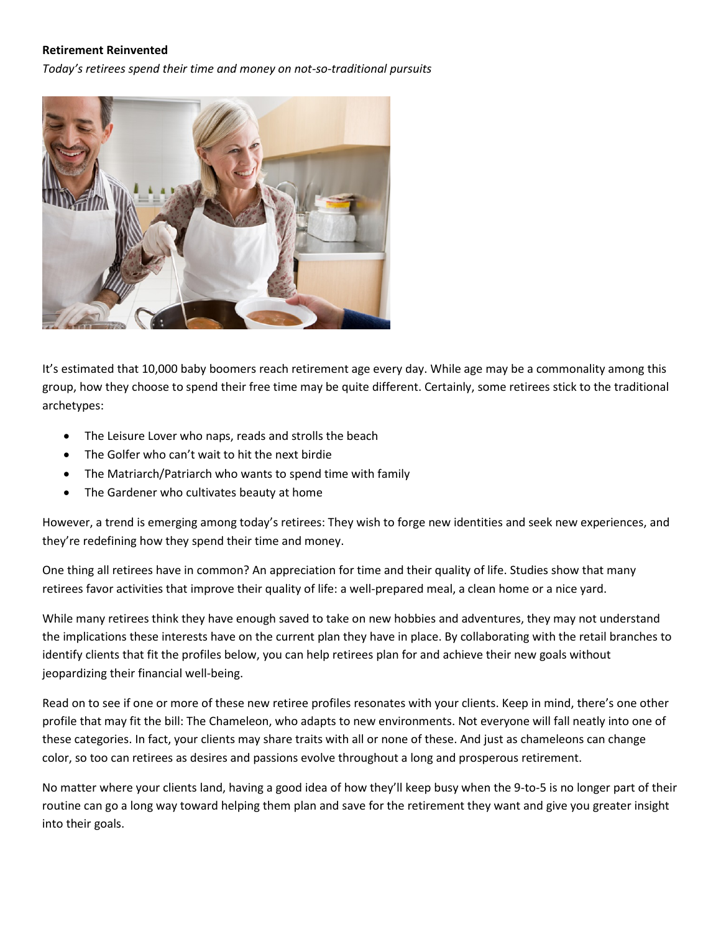### **Retirement Reinvented**

*Today's retirees spend their time and money on not-so-traditional pursuits*



It's estimated that 10,000 baby boomers reach retirement age every day. While age may be a commonality among this group, how they choose to spend their free time may be quite different. Certainly, some retirees stick to the traditional archetypes:

- The Leisure Lover who naps, reads and strolls the beach
- The Golfer who can't wait to hit the next birdie
- The Matriarch/Patriarch who wants to spend time with family
- The Gardener who cultivates beauty at home

However, a trend is emerging among today's retirees: They wish to forge new identities and seek new experiences, and they're redefining how they spend their time and money.

One thing all retirees have in common? An appreciation for time and their quality of life. Studies show that many retirees favor activities that improve their quality of life: a well-prepared meal, a clean home or a nice yard.

While many retirees think they have enough saved to take on new hobbies and adventures, they may not understand the implications these interests have on the current plan they have in place. By collaborating with the retail branches to identify clients that fit the profiles below, you can help retirees plan for and achieve their new goals without jeopardizing their financial well-being.

Read on to see if one or more of these new retiree profiles resonates with your clients. Keep in mind, there's one other profile that may fit the bill: The Chameleon, who adapts to new environments. Not everyone will fall neatly into one of these categories. In fact, your clients may share traits with all or none of these. And just as chameleons can change color, so too can retirees as desires and passions evolve throughout a long and prosperous retirement.

No matter where your clients land, having a good idea of how they'll keep busy when the 9-to-5 is no longer part of their routine can go a long way toward helping them plan and save for the retirement they want and give you greater insight into their goals.